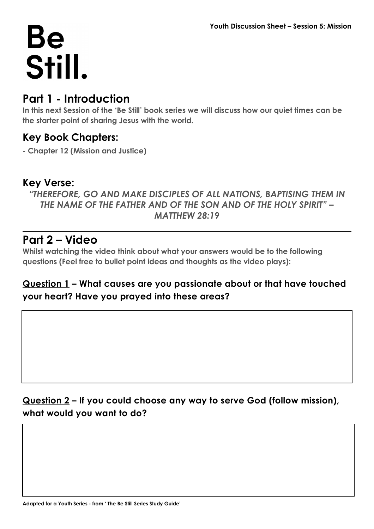### **Part 1 - Introduction**

**In this next Session of the 'Be Still' book series we will discuss how our quiet times can be the starter point of sharing Jesus with the world.** 

#### **Key Book Chapters:**

**- Chapter 12 (Mission and Justice)**

#### **Key Verse:**

*"THEREFORE, GO AND MAKE DISCIPLES OF ALL NATIONS, BAPTISING THEM IN THE NAME OF THE FATHER AND OF THE SON AND OF THE HOLY SPIRIT" – MATTHEW 28:19*

### **Part 2 – Video**

**Whilst watching the video think about what your answers would be to the following questions (Feel free to bullet point ideas and thoughts as the video plays):**

#### **Question 1 – What causes are you passionate about or that have touched your heart? Have you prayed into these areas?**

#### **Question 2 – If you could choose any way to serve God (follow mission), what would you want to do?**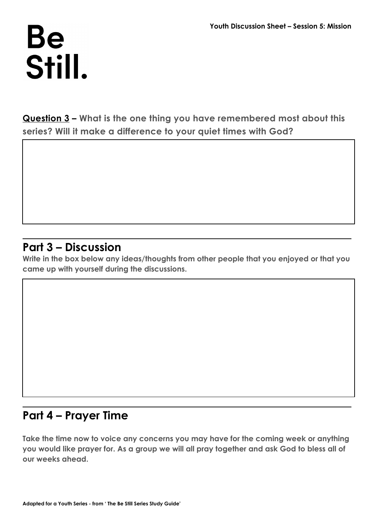**Question 3 – What is the one thing you have remembered most about this series? Will it make a difference to your quiet times with God?**

### **Part 3 – Discussion**

**Write in the box below any ideas/thoughts from other people that you enjoyed or that you came up with yourself during the discussions.**

## **Part 4 – Prayer Time**

**Take the time now to voice any concerns you may have for the coming week or anything you would like prayer for. As a group we will all pray together and ask God to bless all of our weeks ahead.**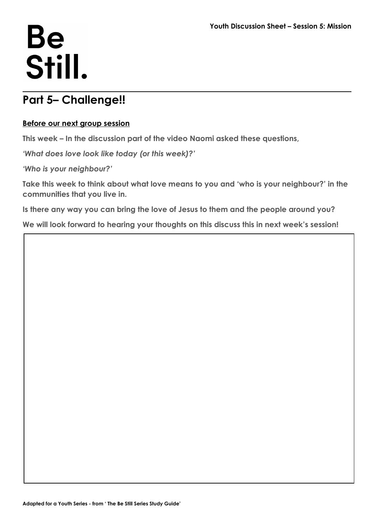## **Part 5– Challenge!!**

#### **Before our next group session**

**This week – In the discussion part of the video Naomi asked these questions,** 

*'What does love look like today (or this week)?'*

*'Who is your neighbour?'*

**Take this week to think about what love means to you and 'who is your neighbour?' in the communities that you live in.** 

**Is there any way you can bring the love of Jesus to them and the people around you?**

**We will look forward to hearing your thoughts on this discuss this in next week's session!**